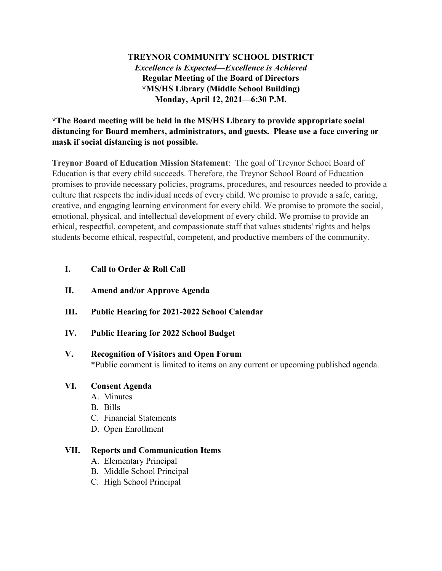# **TREYNOR COMMUNITY SCHOOL DISTRICT** *Excellence is Expected—Excellence is Achieved* **Regular Meeting of the Board of Directors \*MS/HS Library (Middle School Building) Monday, April 12, 2021—6:30 P.M.**

**\*The Board meeting will be held in the MS/HS Library to provide appropriate social distancing for Board members, administrators, and guests. Please use a face covering or mask if social distancing is not possible.**

**Treynor Board of Education Mission Statement**: The goal of Treynor School Board of Education is that every child succeeds. Therefore, the Treynor School Board of Education promises to provide necessary policies, programs, procedures, and resources needed to provide a culture that respects the individual needs of every child. We promise to provide a safe, caring, creative, and engaging learning environment for every child. We promise to promote the social, emotional, physical, and intellectual development of every child. We promise to provide an ethical, respectful, competent, and compassionate staff that values students' rights and helps students become ethical, respectful, competent, and productive members of the community.

## **I. Call to Order & Roll Call**

- **II. Amend and/or Approve Agenda**
- **III. Public Hearing for 2021-2022 School Calendar**
- **IV. Public Hearing for 2022 School Budget**

# **V. Recognition of Visitors and Open Forum**

\*Public comment is limited to items on any current or upcoming published agenda.

## **VI. Consent Agenda**

- A. Minutes
- B. Bills
- C. Financial Statements
- D. Open Enrollment

## **VII. Reports and Communication Items**

- A. Elementary Principal
- B. Middle School Principal
- C. High School Principal